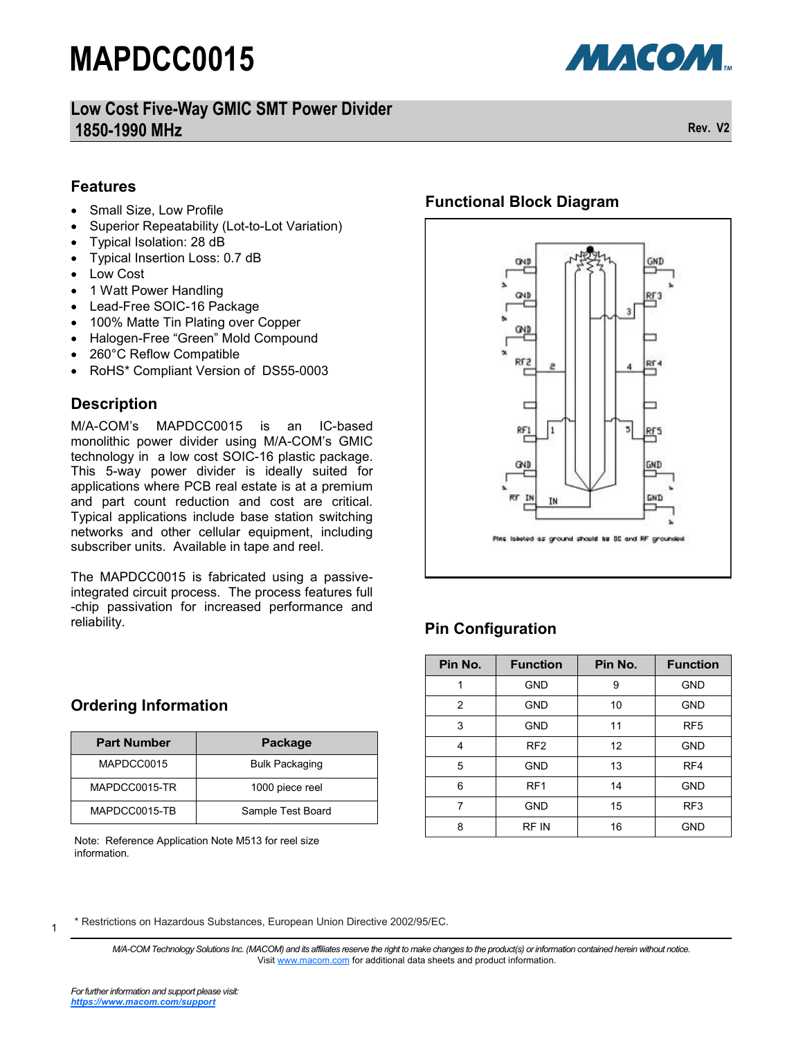**Low Cost Five-Way GMIC SMT Power Divider 1850-1990 MHz Rev. V2**

**МАСОМ.** 

#### **Features**

- Small Size, Low Profile
- Superior Repeatability (Lot-to-Lot Variation)
- Typical Isolation: 28 dB
- Typical Insertion Loss: 0.7 dB
- Low Cost
- 1 Watt Power Handling
- Lead-Free SOIC-16 Package
- 100% Matte Tin Plating over Copper
- Halogen-Free "Green" Mold Compound
- 260°C Reflow Compatible
- RoHS\* Compliant Version of DS55-0003

### **Description**

M/A-COM's MAPDCC0015 is an IC-based monolithic power divider using M/A-COM's GMIC technology in a low cost SOIC-16 plastic package. This 5-way power divider is ideally suited for applications where PCB real estate is at a premium and part count reduction and cost are critical. Typical applications include base station switching networks and other cellular equipment, including subscriber units. Available in tape and reel.

The MAPDCC0015 is fabricated using a passiveintegrated circuit process. The process features full -chip passivation for increased performance and reliability.

### **Functional Block Diagram**



## **Pin Configuration**

| Pin No. | <b>Function</b> | Pin No. | <b>Function</b> |
|---------|-----------------|---------|-----------------|
|         | <b>GND</b>      | 9       | <b>GND</b>      |
| 2       | <b>GND</b>      | 10      | <b>GND</b>      |
| 3       | <b>GND</b>      | 11      | RF <sub>5</sub> |
| 4       | RF <sub>2</sub> | 12      | <b>GND</b>      |
| 5       | <b>GND</b>      | 13      | RF4             |
| 6       | RF <sub>1</sub> | 14      | <b>GND</b>      |
| 7       | <b>GND</b>      | 15      | RF <sub>3</sub> |
| 8       | RF IN           | 16      | <b>GND</b>      |

#### **Ordering Information**

| <b>Part Number</b> | Package               |
|--------------------|-----------------------|
| MAPDCC0015         | <b>Bulk Packaging</b> |
| MAPDCC0015-TR      | 1000 piece reel       |
| MAPDCC0015-TB      | Sample Test Board     |

Note: Reference Application Note M513 for reel size information.

\* Restrictions on Hazardous Substances, European Union Directive 2002/95/EC.

*M/A-COM Technology Solutions Inc. (MACOM) and its affiliates reserve the right to make changes to the product(s) or information contained herein without notice.*  Visit [www.macom.com](http://www.macom.com/) for additional data sheets and product information.

1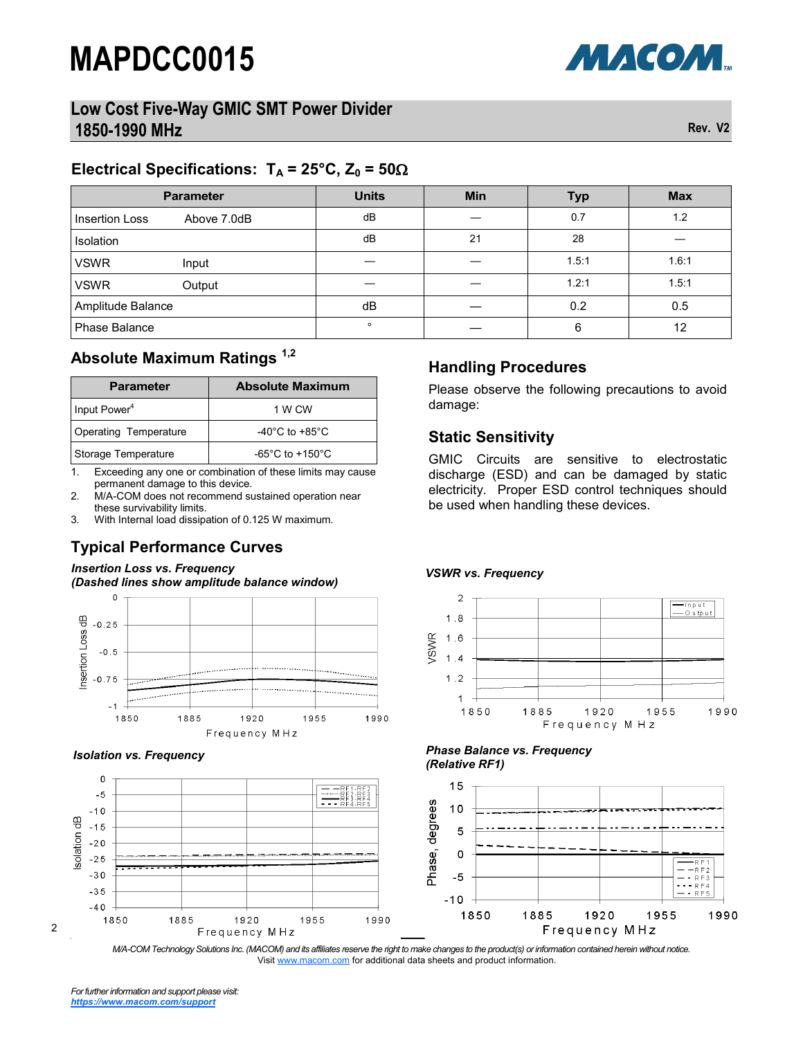## **Low Cost Five-Way GMIC SMT Power Divider 1850-1990 MHz Rev. V2**

### **Electrical Specifications:**  $T_A = 25^\circ \text{C}$ ,  $Z_0 = 50 \Omega$

| <b>Parameter</b>              | <b>Units</b> | <b>Min</b> | <b>Typ</b> | <b>Max</b> |
|-------------------------------|--------------|------------|------------|------------|
| Above 7.0dB<br>Insertion Loss | dB           |            | 0.7        | 1.2        |
| Isolation                     | dB           | 21         | 28         |            |
| <b>VSWR</b><br>Input          |              |            | 1.5:1      | 1.6:1      |
| <b>VSWR</b><br>Output         |              |            | 1.2:1      | 1.5:1      |
| Amplitude Balance             | dB           |            | 0.2        | 0.5        |
| <b>Phase Balance</b>          | $\circ$      |            | 6          | 12         |

## **Absolute Maximum Ratings 1,2**

| <b>Parameter</b>             | <b>Absolute Maximum</b>              |  |  |
|------------------------------|--------------------------------------|--|--|
| Input Power <sup>4</sup>     | 1 W CW                               |  |  |
| <b>Operating Temperature</b> | -40 $^{\circ}$ C to +85 $^{\circ}$ C |  |  |
| Storage Temperature          | $-65^{\circ}$ C to $+150^{\circ}$ C  |  |  |

1. Exceeding any one or combination of these limits may cause permanent damage to this device.

2. M/A-COM does not recommend sustained operation near these survivability limits.

3. With Internal load dissipation of 0.125 W maximum.

## **Typical Performance Curves**

#### *Insertion Loss vs. Frequency (Dashed lines show amplitude balance window)*







# **Handling Procedures**

Please observe the following precautions to avoid damage:

### **Static Sensitivity**

GMIC Circuits are sensitive to electrostatic discharge (ESD) and can be damaged by static electricity. Proper ESD control techniques should be used when handling these devices.

#### *VSWR vs. Frequency*



#### *Isolation vs. Frequency Phase Balance vs. Frequency (Relative RF1)*



*M/A-COM Technology Solutions Inc. (MACOM) and its affiliates reserve the right to make changes to the product(s) or information contained herein without notice.*  Visit [www.macom.com](http://www.macom.com/) for additional data sheets and product information.

2

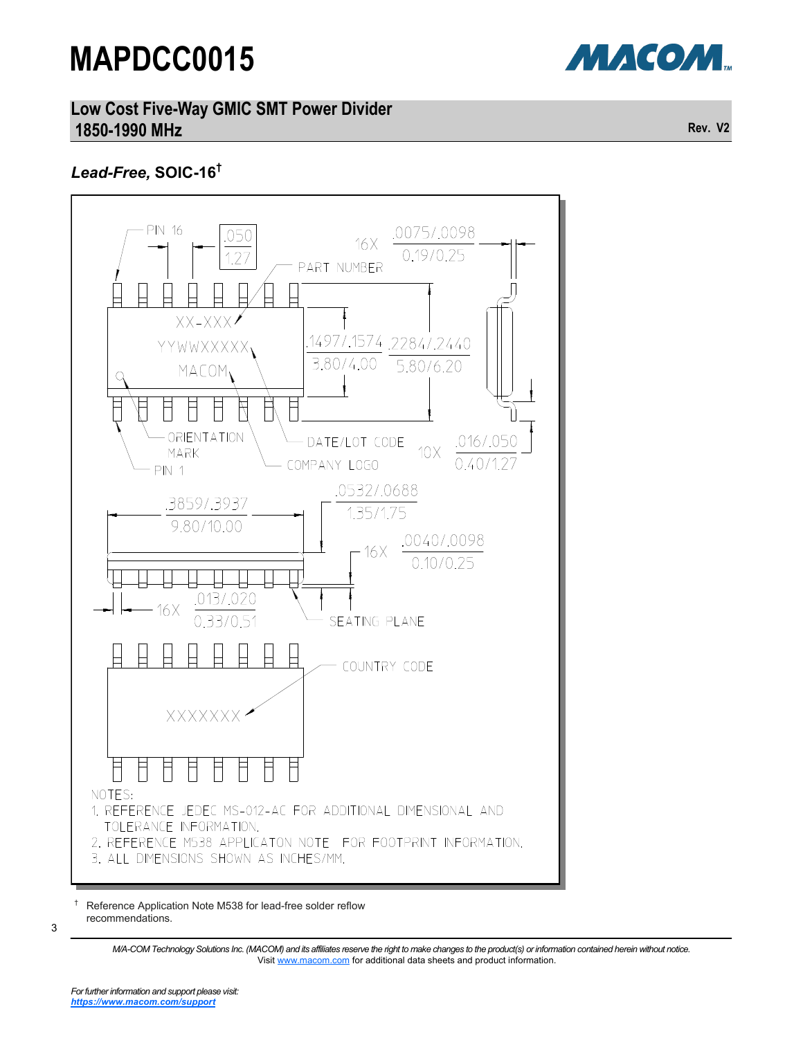

**Low Cost Five-Way GMIC SMT Power Divider 1850-1990 MHz Rev. V2**

# *Lead-Free,* **SOIC-16†**



† Reference Application Note M538 for lead-free solder reflow recommendations.

> *M/A-COM Technology Solutions Inc. (MACOM) and its affiliates reserve the right to make changes to the product(s) or information contained herein without notice.*  Visit [www.macom.com](http://www.macom.com/) for additional data sheets and product information.

3